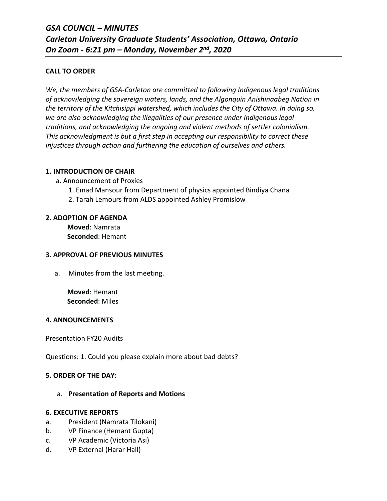## **CALL TO ORDER**

*We, the members of GSA-Carleton are committed to following Indigenous legal traditions of acknowledging the sovereign waters, lands, and the Algonquin Anishinaabeg Nation in the territory of the Kitchisippi watershed, which includes the City of Ottawa. In doing so, we are also acknowledging the illegalities of our presence under Indigenous legal traditions, and acknowledging the ongoing and violent methods of settler colonialism. This acknowledgment is but a first step in accepting our responsibility to correct these injustices through action and furthering the education of ourselves and others.*

## **1. INTRODUCTION OF CHAIR**

- a. Announcement of Proxies
	- 1. Emad Mansour from Department of physics appointed Bindiya Chana
	- 2. Tarah Lemours from ALDS appointed Ashley Promislow

## **2. ADOPTION OF AGENDA**

 **Moved**: Namrata **Seconded**: Hemant

### **3. APPROVAL OF PREVIOUS MINUTES**

a. Minutes from the last meeting.

 **Moved**: Hemant **Seconded**: Miles

### **4. ANNOUNCEMENTS**

Presentation FY20 Audits

Questions: 1. Could you please explain more about bad debts?

## **5. ORDER OF THE DAY:**

a. **Presentation of Reports and Motions**

### **6. EXECUTIVE REPORTS**

- a. President (Namrata Tilokani)
- b. VP Finance (Hemant Gupta)
- c. VP Academic (Victoria Asi)
- d. VP External (Harar Hall)